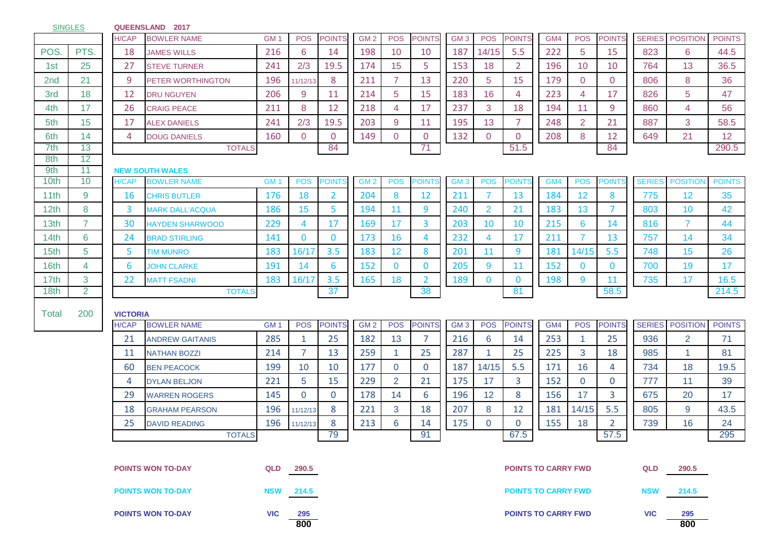| <b>SINGLES</b>   |                |                          | QUEENSLAND 2017                              |                 |                |                |                 |                |                |                 |                            |                            |     |                      |                |               |                 |               |
|------------------|----------------|--------------------------|----------------------------------------------|-----------------|----------------|----------------|-----------------|----------------|----------------|-----------------|----------------------------|----------------------------|-----|----------------------|----------------|---------------|-----------------|---------------|
|                  |                | H/CAP                    | <b>BOWLER NAME</b>                           | GM <sub>1</sub> | <b>POS</b>     | <b>POINTS</b>  | GM <sub>2</sub> | <b>POS</b>     | <b>POINTS</b>  | GM <sub>3</sub> | <b>POS</b>                 | <b>POINTS</b>              | GM4 | <b>POS</b>           | <b>POINTS</b>  | <b>SERIES</b> | <b>POSITION</b> | <b>POINTS</b> |
| POS.             | PTS.           | 18                       | <b>JAMES WILLS</b>                           | 216             | 6              | 14             | 198             | 10             | 10             | 187             | 14/15                      | 5.5                        | 222 | 5                    | 15             | 823           | 6               | 44.5          |
| 1st              | 25             | 27                       | <b>STEVE TURNER</b>                          | 241             | 2/3            | 19.5           | 174             | 15             | 5              | 153             | 18                         | $\overline{2}$             | 196 | 10                   | 10             | 764           | 13              | 36.5          |
| 2 <sub>nd</sub>  | 21             | 9                        | PETER WORTHINGTON                            | 196             | 11/12/13       | 8              | 211             | $\overline{7}$ | 13             | 220             | 5                          | 15                         | 179 | $\overline{0}$       | $\mathbf 0$    | 806           | 8               | 36            |
| 3rd              | 18             | 12                       | <b>DRU NGUYEN</b>                            | 206             | 9              | 11             | 214             | 5              | 15             | 183             | 16                         | 4                          | 223 | 4                    | 17             | 826           | 5               | 47            |
| 4th              | 17             | 26                       | <b>CRAIG PEACE</b>                           | 211             | 8              | 12             | 218             | 4              | 17             | 237             | 3                          | 18                         | 194 | 11                   | 9              | 860           | 4               | 56            |
| 5th              | 15             | 17                       | <b>ALEX DANIELS</b>                          | 241             | 2/3            | 19.5           | 203             | 9              | 11             | 195             | 13                         | 7                          | 248 | 2                    | 21             | 887           | 3               | 58.5          |
| 6th              | 14             | 4                        | <b>DOUG DANIELS</b>                          | 160             | $\overline{0}$ | $\overline{0}$ | 149             | $\overline{0}$ | $\overline{0}$ | 132             | $\mathbf 0$                | 0                          | 208 | 8                    | 12             | 649           | 21              | 12            |
| 7th              | 13             |                          | <b>TOTALS</b>                                |                 |                | 84             |                 |                | 71             |                 |                            | 51.5                       |     |                      | 84             |               |                 | 290.5         |
| 8th              | 12             |                          |                                              |                 |                |                |                 |                |                |                 |                            |                            |     |                      |                |               |                 |               |
| 9th<br>10th      | 11<br>10       | <b>H/CAP</b>             | <b>NEW SOUTH WALES</b><br><b>BOWLER NAME</b> | GM <sub>1</sub> | <b>POS</b>     | Points         | GM <sub>2</sub> | <b>POS</b>     | POINT          | GM <sub>3</sub> | <b>POS</b>                 | <b>POINTS</b>              | GM4 | <b>POS</b>           | <b>POINTS</b>  | <b>SERIES</b> | <b>POSITION</b> | <b>POINTS</b> |
| 11th             | 9              | <b>16</b>                | <b>CHRIS BUTLER</b>                          | 176             | 18             | $\overline{2}$ | 204             | 8              | 12             | 211             | $\overline{7}$             | 13                         | 184 | 12                   | 8              | 775           | 12              | 35            |
| 12 <sub>th</sub> | 8              | 3                        | <b>MARK DALL'ACQUA</b>                       | 186             | 15             | 5              | 194             | 11             | 9              | 240             | 2                          | 21                         | 183 | 13                   | $\overline{7}$ | 803           | 10              | 42            |
| 13th             | $\overline{7}$ | 30                       | <b>HAYDEN SHARWOOD</b>                       | 229             | 4              | 17             | 169             | 17             | 3              | 203             | 10                         | 10                         | 215 | 6                    | 14             | 816           | $\overline{7}$  | 44            |
| 14th             | $6\phantom{1}$ | 24                       | <b>BRAD STIRLING</b>                         | 141             | $\mathbf{0}$   | $\mathbf{0}$   | 173             | 16             | 4              | 232             | 4                          | 17                         | 211 | 7                    | 13             | 757           | 14              | 34            |
| 15 <sub>th</sub> | 5              | 5                        |                                              | 183             | 16/17          | 3.5            | 183             | 12             | 8              | 201             | 11                         | 9                          | 181 | 14/15                | 5.5            | 748           | 15              | 26            |
| 16th             | 4              | 6                        | <b>TIM MUNRO</b>                             | 191             | 14             | 6              | 152             | $\Omega$       | $\mathbf{0}$   | 205             | 9                          | 11                         | 152 | $\mathbf{0}$         | $\bf{0}$       | 700           | 19              | 17            |
| 17 <sub>th</sub> | 3              | 22                       | <b>JOHN CLARKE</b>                           | 183             | 16/17          | 3.5            | 165             | 18             | $\overline{2}$ | 189             | $\mathbf{0}$               | $\bf{0}$                   | 198 | 9                    | 11             | 735           | 17              | 16.5          |
| 18th             | $\overline{2}$ |                          | <b>MATT FSADNI</b><br><b>TOTALS</b>          |                 |                | 37             |                 |                | 38             |                 |                            | 81                         |     |                      | 58.5           |               |                 | 214.5         |
|                  |                |                          |                                              |                 |                |                |                 |                |                |                 |                            |                            |     |                      |                |               |                 |               |
| Total            | 200            | <b>VICTORIA</b>          |                                              |                 |                |                |                 |                |                |                 |                            |                            |     |                      |                |               |                 |               |
|                  |                | H/CAP                    | <b>BOWLER NAME</b>                           | GM <sub>1</sub> | <b>POS</b>     | <b>POINTS</b>  | GM <sub>2</sub> | <b>POS</b>     | <b>POINTS</b>  | GM <sub>3</sub> | <b>POS</b>                 | <b>POINTS</b>              | GM4 | <b>POS</b>           | <b>POINTS</b>  | <b>SERIES</b> | <b>POSITION</b> | <b>POINTS</b> |
|                  |                | 21                       | <b>ANDREW GAITANIS</b>                       | 285             | $\mathbf{1}$   | 25             | 182             | 13             | $\overline{7}$ | 216             | 6                          | 14                         | 253 | $\blacktriangleleft$ | 25             | 936           | $\overline{2}$  | 71            |
|                  |                | 11                       | <b>NATHAN BOZZI</b>                          | 214             | $\overline{7}$ | 13             | 259             | 1              | 25             | 287             |                            | 25                         | 225 | 3                    | 18             | 985           | 1               | 81            |
|                  |                | 60                       | <b>BEN PEACOCK</b>                           | 199             | 10             | 10             | 177             | $\overline{0}$ | $\overline{0}$ | 187             | 14/15                      | 5.5                        | 171 | 16                   | 4              | 734           | 18              | 19.5          |
|                  |                | 4                        | <b>DYLAN BELJON</b>                          | 221             | 5              | 15             | 229             | $\overline{2}$ | 21             | 175             | 17                         | 3                          | 152 | $\overline{0}$       | $\mathbf 0$    | 777           | 11              | 39            |
|                  |                | 29                       | <b>WARREN ROGERS</b>                         | 145             | $\Omega$       | $\mathbf 0$    | 178             | 14             | 6              | 196             | 12                         | 8                          | 156 | 17                   | 3              | 675           | 20              | 17            |
|                  |                | 18                       | <b>GRAHAM PEARSON</b>                        | 196             | 11/12/13       | 8              | 221             | 3              | 18             | 207             | 8                          | 12                         | 181 | 14/15                | 5.5            | 805           | 9               | 43.5          |
|                  |                | 25                       | <b>DAVID READING</b>                         | 196             | 11/12/13       | 8              | 213             | 6              | 14             | 175             | $\overline{0}$             | 0                          | 155 | 18                   | $\overline{2}$ | 739           | 16              | 24            |
|                  |                |                          | TOTALS                                       |                 |                | 79             |                 |                | 91             |                 |                            | 67.5                       |     |                      | 57.5           |               |                 | 295           |
|                  |                |                          |                                              |                 |                |                |                 |                |                |                 |                            |                            |     |                      |                |               |                 |               |
|                  |                |                          | <b>POINTS WON TO-DAY</b>                     |                 | QLD 290.5      |                |                 |                |                |                 |                            | <b>POINTS TO CARRY FWD</b> |     |                      |                | <b>QLD</b>    | 290.5           |               |
|                  |                |                          |                                              |                 |                |                |                 |                |                |                 |                            |                            |     |                      |                |               |                 |               |
|                  |                |                          | <b>POINTS WON TO-DAY</b>                     | <b>NSW</b>      | 214.5          |                |                 |                |                |                 |                            | <b>POINTS TO CARRY FWD</b> |     |                      |                | <b>NSW</b>    | 214.5           |               |
|                  |                | <b>POINTS WON TO-DAY</b> | <b>VIC</b>                                   | 295             |                |                |                 |                |                |                 | <b>POINTS TO CARRY FWD</b> |                            |     |                      | <b>VIC</b>     | 295           |                 |               |

**800 800**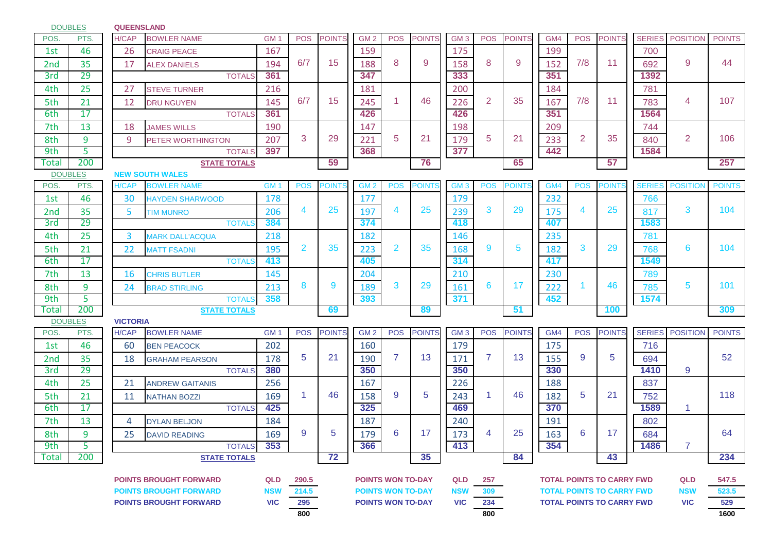**QUEENSLAND** POS. PTS. H/CAP BOWLER.NAME GM 1 | POS |POINTS||GM 2 | POS |POINTS||GM 3 | POS |POINTS||GM4 | POS |POINTS||SERIES||POSITION||POINTS 1st 46 26 CRAIG PEACE 167 167 200 2nd 35 17 ALEX DANIELS 194 6/7 15 188 8 9 158 8 9 152 7/8 11 692 3rd 29 TOTALS **361 347 333 351 1392** 4th 25 27 STEVE TURNER 216 131 181 200 134 184 781 5th 21 12 DRU NGUYEN 145 6/7 15 245 1 46 226 2 35 167 7/8 11 783 6th 17 TOTALS **361 426 426 351 1564** 7th 13 18 JAMES WILLS 190 1 147 198 198 209 1 744 8th | 9 | | 9 |PETER\_WORTHINGTON | 207 | 3 | 29 | 221 | 5 | 21 | 179 | 5 | 21 | 233 | 2 | 35 | 840 9th 5 TOTALS **397 368 377 442 1584** Total 200 **STATE TOTALS 59 76 65 57 257 NEW SOUTH WALES** POS. PTS. H/CAP BOWLER NAME GM 1 POS POINTS GM 2 POS POINTS GM 3 POS POINTS GM4 POS POINTS SERIES POSITION POINTS 1st 46 30 HAYDEN SHARWOOD 178 177 179 179 232 766 2nd 35 5 TIMMUNRO 206 4 25 197 4 25 239 3 29 175 4 25 817 3rd 29 TOTALS **384 374 418 407 1583** 4th 25 3 MARK DALL'ACQUA 218 182 146 235 235 781 5th 21 22 MATT FSADNI 195 2 35 223 2 35 168 9 5 182 3 29 768 6th 17 TOTALS **413 405 314 417 1549** 7th 13 16 CHRIS BUTLER 145 204 210 230 789 8th 9 24 BRAD STIRLING 213 8 9 189 3 29 161 6 17 222 1 46 785 9th 5 TOTALS **358 393 371 452 1574** Total 200 **STATE TOTALS 69 89 51 100 309 VICTORIA** POS. PTS. H/CAP BOWLERNAME GM1 | POS POINTS | GM2 | POS POINTS | GM3 | POS POINTS | GM4 | POS POINTS | SERIES | POSITION | POINTS 1st 46 60 BEN PEACOCK 202 160 160 179 179 175 1716 2nd | 35 | | 18 GRAHAM PEARSON | 178 | 5 | 21 | 190 | 7 | 13 | 171 | 7 | 13 | 155 | 9 | 5 | | 694 3rd 29 TOTALS **380 350 350 330 1410** 4th 25 21 Andrew Gaitanis 256 1 167 226 1893 188 1897 5th | 21 | 11 |NATHAN BOZZI | 169 | 1 | 46 | 158 | <sup>9</sup> | <sup>5</sup> | 243 | <sup>1</sup> | <sup>46</sup> | 182 | <sup>5</sup> | <sup>21</sup> | 752 6th 17 TOTALS **425 325 469 370 1589** 7th 13 4 DYLAN BELJON 184 184 187 187 240 1910 191 8th | 9 | | 25 |DAVID READING | 169 | <sup>9</sup> | <sup>5</sup> | 179 | <sup>6</sup> | <sup>17</sup> | 173 | <sup>4</sup> | <sup>25</sup> | 163 | <sup>6</sup> | <sup>17</sup> | | 684 9th 5 TOTALS **353 366 413 354 1486** Total 200 **STATE TOTALS 72 35 84 43 234 POINTS BROUGHT FORWARD QLD 290.5 QLD 257 QLD 547.5 POINTS WON TO-DAY TOTAL POINTS TO CARRY FWD POINTS BROUGHT FORWARD NSW 214.5 NSW 309 NSW 523.5 POINTS BROUGHT FORWARD VIC 295 VIC 234 VIC 529 POINTS WON TO-DAY TOTAL POINTS TO CARRY FWD800 800 1600** 25 163 6 17 7 9 5 1 179 6 17 1 173 4 25 1 163 6 17 1 684 46 182 5 21 1 1 46 || 158 || 9 || 5 || 243 || 1 || 46 || 182 || 5 || 21 || 1752 || 118 13 155 9 5 9 5 | 21 | 190 | 7 | 13 | 171 | 7 | 13 | 155 | 9 | 5 | 694 | 52 3 | 29 | 221 | 5 | 21 | 179 | 5 | 21 | 233 | 2 | 35 | 840 | 2 | 106 6/7 | 15 | 245 | 1 | 46 | 226 | 2 | 35 | 167 | 7/8 | 11 | 783 | 4 | 107 6/7 | 15 | 188 | 8 | 9 | | 158 | 8 | 9 | | 152 | 7/8 | 11 | | 692 | 9 | 144 8 9 189 3 29 161 6 17 222 1 46 785 5 101 2 35 223 2 35 168 9 5 182 3 29 768 6 104 4 25 197 4 25 239 3 29 175 4 25 817 3 104 DOUBLES DOUBLES DOUBLES **POINTS TO CARRY FWD**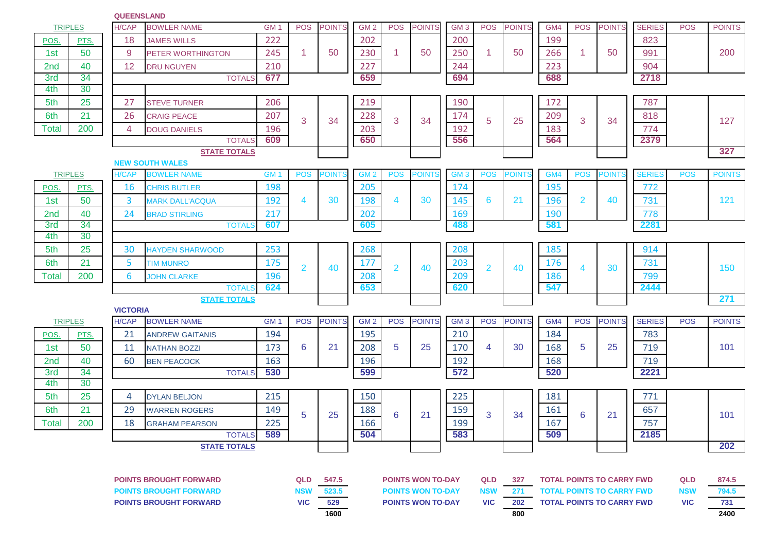| <b>TRIPLES</b>                |      | <b>H/CAP</b>             | <b>BOWLER NAME</b>                            | GM <sub>1</sub> | <b>POS</b>     | <b>POINTS</b> | GM <sub>2</sub> | <b>POS</b>               | <b>POINTS</b> | GM <sub>3</sub> | <b>POS</b>     | <b>POINTS</b> | GM4                                                                                | <b>POS</b>     | <b>POINTS</b> | <b>SERIES</b> | <b>POS</b> | <b>POINTS</b> |
|-------------------------------|------|--------------------------|-----------------------------------------------|-----------------|----------------|---------------|-----------------|--------------------------|---------------|-----------------|----------------|---------------|------------------------------------------------------------------------------------|----------------|---------------|---------------|------------|---------------|
| POS.                          | PTS. | 18                       | <b>JAMES WILLS</b>                            | 222             |                |               | 202             |                          |               | 200             |                |               | 199                                                                                |                |               | 823           |            |               |
| 1st                           | 50   | 9                        | PETER WORTHINGTON                             | 245             | 1              | 50            | 230             | $\mathbf{1}$             | 50            | 250             | 1              | 50            | 266                                                                                | 1              | 50            | 991           |            | 200           |
| 2 <sub>nd</sub>               | 40   | 12                       | <b>DRU NGUYEN</b>                             | 210             |                |               | 227             |                          |               | 244             |                |               | 223                                                                                |                |               | 904           |            |               |
| 3rd                           | 34   |                          | <b>TOTALS</b>                                 | 677             |                |               | 659             |                          |               | 694             |                |               | 688                                                                                |                |               | 2718          |            |               |
| 4th                           | 30   |                          |                                               |                 |                |               |                 |                          |               |                 |                |               |                                                                                    |                |               |               |            |               |
| 5th                           | 25   | 27                       | <b>STEVE TURNER</b>                           | 206             |                |               | 219             |                          |               | 190             |                |               | 172                                                                                |                |               | 787           |            |               |
| 6th                           | 21   | 26                       | <b>CRAIG PEACE</b>                            | 207             | 3              | 34            | 228             | 3                        | 34            | 174             | 5              | 25            | 209                                                                                | 3              | 34            | 818           |            | 127           |
| Total                         | 200  | 4                        | <b>DOUG DANIELS</b>                           | 196             |                |               | 203             |                          |               | 192             |                |               | 183                                                                                |                |               | 774           |            |               |
|                               |      |                          | <b>TOTALS</b>                                 | 609             |                |               | 650             |                          |               | 556             |                |               | 564                                                                                |                |               | 2379          |            |               |
|                               |      |                          | <b>STATE TOTALS</b><br><b>NEW SOUTH WALES</b> |                 |                |               |                 |                          |               |                 |                |               |                                                                                    |                |               |               |            | 327           |
| <b>TRIPLES</b>                |      | H/CAP                    | <b>BOWLER NAME</b>                            | GM <sub>1</sub> | <b>POS</b>     | <b>POINTS</b> | GM <sub>2</sub> | <b>POS</b>               | <b>POINTS</b> | GM <sub>3</sub> | <b>POS</b>     | <b>POINTS</b> | GM4                                                                                | <b>POS</b>     | <b>POINTS</b> | <b>SERIES</b> | <b>POS</b> | <b>POINTS</b> |
| POS.                          | PTS. | 16                       | <b>CHRIS BUTLER</b>                           | 198             |                |               | 205             |                          |               | 174             |                |               | 195                                                                                |                |               | 772           |            |               |
| 1st                           | 50   | 3                        | <b>MARK DALL'ACQUA</b>                        | 192             | 4              | 30            | 198             | 4                        | 30            | 145             | 6              | 21            | 196                                                                                | $\overline{2}$ | 40            | 731           |            | 121           |
| 2nd                           | 40   | 24                       | <b>BRAD STIRLING</b>                          | 217             |                |               | 202             |                          |               | 169             |                |               | 190                                                                                |                |               | 778           |            |               |
| 3rd                           | 34   |                          | <b>TOTALS</b>                                 | 607             |                |               | 605             |                          |               | 488             |                |               | 581                                                                                |                |               | 2281          |            |               |
| 4th                           | 30   |                          |                                               |                 |                |               |                 |                          |               |                 |                |               |                                                                                    |                |               |               |            |               |
| 5th                           | 25   | 30                       | <b>HAYDEN SHARWOOD</b>                        | 253             |                |               | 268             |                          |               | 208             |                |               | 185                                                                                |                |               | 914           |            |               |
| 6th                           | 21   | 5                        | <b>TIM MUNRO</b>                              | 175             | $\overline{2}$ | 40            | 177             | $\overline{2}$           | 40            | 203             | $\overline{2}$ | 40            | 176                                                                                | 4              | 30            | 731           |            | 150           |
| <b>Total</b>                  | 200  | 6                        | <b>JOHN CLARKE</b>                            | 196             |                |               | 208             |                          |               | 209             |                |               | 186                                                                                |                |               | 799           |            |               |
|                               |      |                          | <b>TOTALS</b>                                 | 624             |                |               | 653             |                          |               | 620             |                |               | 547                                                                                |                |               | 2444          |            |               |
| <b>STATE TOTALS</b>           |      |                          |                                               |                 |                |               |                 |                          |               |                 |                |               |                                                                                    |                |               |               |            | 271           |
| <b>TRIPLES</b>                |      | <b>VICTORIA</b><br>H/CAP | <b>BOWLER NAME</b>                            | GM <sub>1</sub> | <b>POS</b>     | <b>POINTS</b> | GM <sub>2</sub> | <b>POS</b>               | <b>POINTS</b> | GM <sub>3</sub> | <b>POS</b>     | <b>POINTS</b> | GM4                                                                                | <b>POS</b>     | <b>POINTS</b> | <b>SERIES</b> | <b>POS</b> | <b>POINTS</b> |
| POS.                          | PTS. | 21                       | <b>ANDREW GAITANIS</b>                        | 194             |                |               | 195             |                          |               | 210             |                |               | 184                                                                                |                |               | 783           |            |               |
| 1st                           | 50   | 11                       | <b>NATHAN BOZZI</b>                           | 173             | 6              | 21            | 208             | 5                        | 25            | 170             | 4              | 30            | 168                                                                                | 5              | 25            | 719           |            | 101           |
| 2nd                           | 40   | 60                       | <b>BEN PEACOCK</b>                            | 163             |                |               | 196             |                          |               | 192             |                |               | 168                                                                                |                |               | 719           |            |               |
| 3rd                           | 34   |                          | <b>TOTALS</b>                                 | 530             |                |               | 599             |                          |               | 572             |                |               | 520                                                                                |                |               | 2221          |            |               |
| 4th                           | 30   |                          |                                               |                 |                |               |                 |                          |               |                 |                |               |                                                                                    |                |               |               |            |               |
| 5th                           | 25   | 4                        | <b>DYLAN BELJON</b>                           | 215             |                |               | 150             |                          |               | 225             |                |               | 181                                                                                |                |               | 771           |            |               |
| 6th                           | 21   | 29                       | <b>WARREN ROGERS</b>                          | 149             |                |               | 188             |                          |               | 159             |                |               | 161                                                                                |                |               | 657           |            |               |
| <b>Total</b>                  | 200  | 18                       | <b>GRAHAM PEARSON</b>                         | 225             | 5              | 25            | 166             | 6                        | 21            | 199             | 3              | 34            | 167                                                                                | 6              | 21            | 757           |            | 101           |
|                               |      |                          | <b>TOTALS</b>                                 | 589             |                |               | 504             |                          |               | 583             |                |               | 509                                                                                |                |               | 2185          |            |               |
| <b>STATE TOTALS</b>           |      |                          |                                               |                 |                |               |                 |                          |               |                 |                |               |                                                                                    |                |               | 202           |            |               |
|                               |      |                          |                                               |                 |                |               |                 |                          |               |                 |                |               |                                                                                    |                |               |               |            |               |
| <b>POINTS BROUGHT FORWARD</b> |      |                          |                                               | <b>QLD</b>      | 547.5          |               |                 | <b>POINTS WON TO-DAY</b> |               | <b>QLD</b>      | 327            |               |                                                                                    |                |               | QLD           | 874.5      |               |
| <b>POINTS BROUGHT FORWARD</b> |      |                          |                                               | <b>NSW</b>      | 523.5          |               |                 | <b>POINTS WON TO-DAY</b> |               | <b>NSW</b>      | 271            |               | <b>TOTAL POINTS TO CARRY FWD</b><br><b>TOTAL POINTS TO CARRY FWD</b><br><b>NSW</b> |                |               |               |            |               |

**VIC 529 VIC 202 VIC 731 POINTS BROUGHT FORWARD POINTS WON TO-DAY TOTAL POINTS TO CARRY FWD**

**QUEENSLAND**

| QLD        | 547.5 |
|------------|-------|
| <b>NSW</b> | 523.5 |
| VIC        | 529   |
|            | 1600  |

**1600 800 2400**